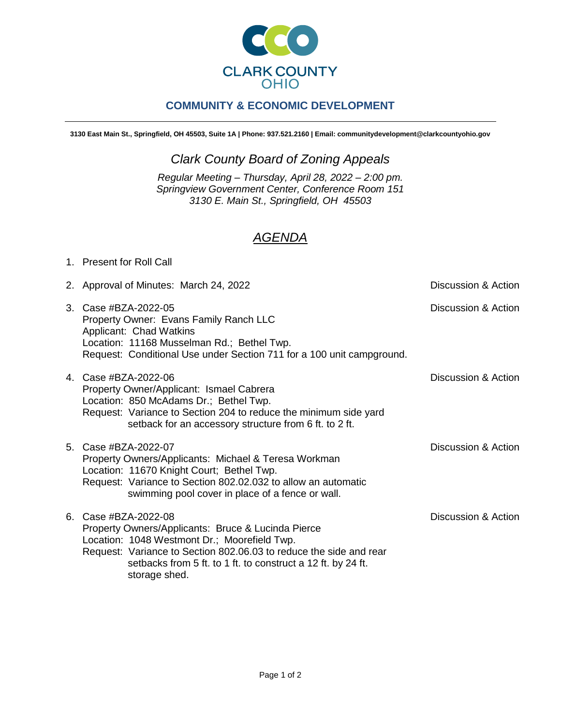

## **COMMUNITY & ECONOMIC DEVELOPMENT**

**3130 East Main St., Springfield, OH 45503, Suite 1A | Phone: 937.521.2160 | Email: communitydevelopment@clarkcountyohio.gov**

## *Clark County Board of Zoning Appeals*

*Regular Meeting – Thursday, April 28, 2022 – 2:00 pm. Springview Government Center, Conference Room 151 3130 E. Main St., Springfield, OH 45503*

## *AGENDA*

## 1. Present for Roll Call

| 2. Approval of Minutes: March 24, 2022                                                                                                                                                                                                                                            | Discussion & Action |
|-----------------------------------------------------------------------------------------------------------------------------------------------------------------------------------------------------------------------------------------------------------------------------------|---------------------|
| 3. Case #BZA-2022-05<br>Property Owner: Evans Family Ranch LLC<br>Applicant: Chad Watkins<br>Location: 11168 Musselman Rd.; Bethel Twp.<br>Request: Conditional Use under Section 711 for a 100 unit campground.                                                                  | Discussion & Action |
| 4. Case #BZA-2022-06<br>Property Owner/Applicant: Ismael Cabrera<br>Location: 850 McAdams Dr.; Bethel Twp.<br>Request: Variance to Section 204 to reduce the minimum side yard<br>setback for an accessory structure from 6 ft. to 2 ft.                                          | Discussion & Action |
| 5. Case #BZA-2022-07<br>Property Owners/Applicants: Michael & Teresa Workman<br>Location: 11670 Knight Court; Bethel Twp.<br>Request: Variance to Section 802.02.032 to allow an automatic<br>swimming pool cover in place of a fence or wall.                                    | Discussion & Action |
| 6. Case #BZA-2022-08<br>Property Owners/Applicants: Bruce & Lucinda Pierce<br>Location: 1048 Westmont Dr.; Moorefield Twp.<br>Request: Variance to Section 802.06.03 to reduce the side and rear<br>setbacks from 5 ft. to 1 ft. to construct a 12 ft. by 24 ft.<br>storage shed. | Discussion & Action |